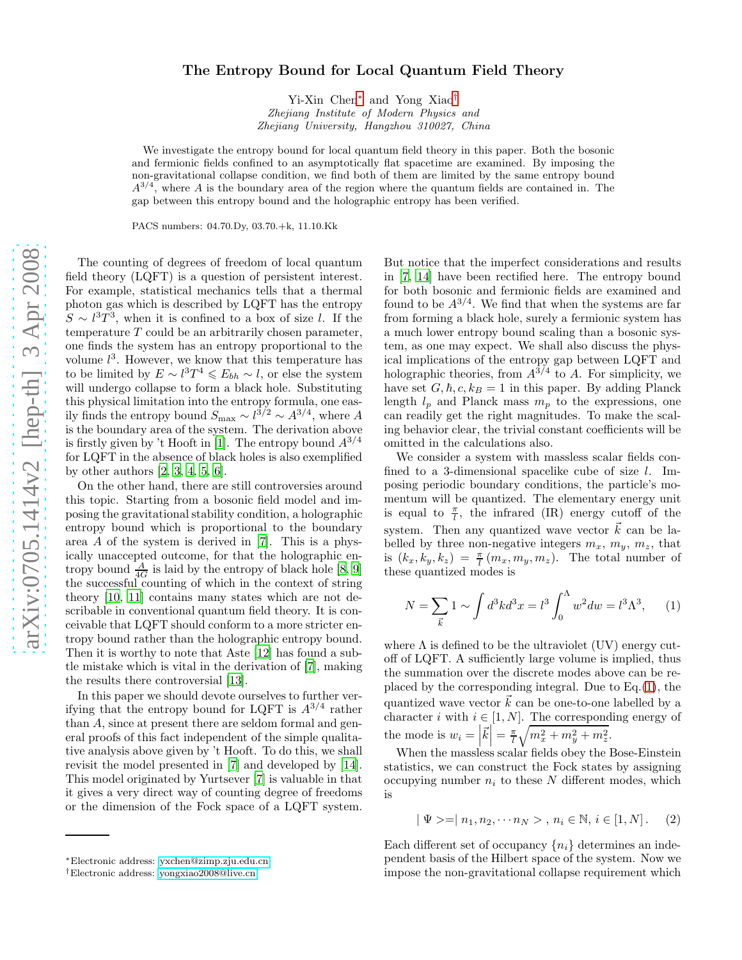## The Entropy Bound for Local Quantum Field Theory

Yi-Xin Chen [∗](#page-0-0) and Yong Xiao [†](#page-0-1) Zhejiang Institute of Modern Physics and Zhejiang University, Hangzhou 310027, China

We investigate the entropy bound for local quantum field theory in this paper. Both the bosonic and fermionic fields confined to an asymptotically flat spacetime are examined. By imposing the non-gravitational collapse condition, we find both of them are limited by the same entropy bound  $A^{3/4}$ , where A is the boundary area of the region where the quantum fields are contained in. The gap between this entropy bound and the holographic entropy has been verified.

PACS numbers: 04.70.Dy, 03.70.+k, 11.10.Kk

The counting of degrees of freedom of local quantum field theory (LQFT) is a question of persistent interest. For example, statistical mechanics tells that a thermal photon gas which is described by LQFT has the entropy  $S \sim l^3 T^3$ , when it is confined to a box of size l. If the temperature T could be an arbitrarily chosen parameter, one finds the system has an entropy proportional to the volume  $l^3$ . However, we know that this temperature has to be limited by  $E \sim l^3 T^4 \leq E_{bh} \sim l$ , or else the system will undergo collapse to form a black hole. Substituting this physical limitation into the entropy formula, one easily finds the entropy bound  $S_{\text{max}} \sim l^{3/2} \sim A^{3/4}$ , where A is the boundary area of the system. The derivation above is firstly given by 't Hooft in [\[1](#page-3-0)]. The entropy bound  $A^{3/4}$ for LQFT in the absence of black holes is also exemplified by other authors [\[2,](#page-3-1) [3,](#page-3-2) [4,](#page-3-3) [5,](#page-3-4) [6\]](#page-3-5).

On the other hand, there are still controversies around this topic. Starting from a bosonic field model and imposing the gravitational stability condition, a holographic entropy bound which is proportional to the boundary area A of the system is derived in [\[7](#page-3-6)]. This is a physically unaccepted outcome, for that the holographic entropy bound  $\frac{A}{4G}$  is laid by the entropy of black hole [\[8,](#page-3-7) [9](#page-3-8)] the successful counting of which in the context of string theory [\[10,](#page-3-9) [11](#page-3-10)] contains many states which are not describable in conventional quantum field theory. It is conceivable that LQFT should conform to a more stricter entropy bound rather than the holographic entropy bound. Then it is worthy to note that Aste [\[12](#page-3-11)] has found a subtle mistake which is vital in the derivation of [\[7\]](#page-3-6), making the results there controversial [\[13](#page-3-12)].

In this paper we should devote ourselves to further verifying that the entropy bound for LQFT is  $A^{3/4}$  rather than A, since at present there are seldom formal and general proofs of this fact independent of the simple qualitative analysis above given by 't Hooft. To do this, we shall revisit the model presented in [\[7](#page-3-6)] and developed by [\[14\]](#page-3-13). This model originated by Yurtsever [\[7\]](#page-3-6) is valuable in that it gives a very direct way of counting degree of freedoms or the dimension of the Fock space of a LQFT system.

But notice that the imperfect considerations and results in [\[7](#page-3-6), [14](#page-3-13)] have been rectified here. The entropy bound for both bosonic and fermionic fields are examined and found to be  $A^{3/4}$ . We find that when the systems are far from forming a black hole, surely a fermionic system has a much lower entropy bound scaling than a bosonic system, as one may expect. We shall also discuss the physical implications of the entropy gap between LQFT and holographic theories, from  $A^{3/4}$  to A. For simplicity, we have set  $G, \hbar, c, k_B = 1$  in this paper. By adding Planck length  $l_p$  and Planck mass  $m_p$  to the expressions, one can readily get the right magnitudes. To make the scaling behavior clear, the trivial constant coefficients will be omitted in the calculations also.

We consider a system with massless scalar fields confined to a 3-dimensional spacelike cube of size l. Imposing periodic boundary conditions, the particle's momentum will be quantized. The elementary energy unit is equal to  $\frac{\pi}{l}$ , the infrared (IR) energy cutoff of the system. Then any quantized wave vector  $\vec{k}$  can be labelled by three non-negative integers  $m_x$ ,  $m_y$ ,  $m_z$ , that is  $(k_x, k_y, k_z) = \frac{\pi}{l} (m_x, m_y, m_z)$ . The total number of these quantized modes is

<span id="page-0-2"></span>
$$
N = \sum_{\vec{k}} 1 \sim \int d^3k d^3x = l^3 \int_0^{\Lambda} w^2 dw = l^3 \Lambda^3, \quad (1)
$$

where  $\Lambda$  is defined to be the ultraviolet (UV) energy cutoff of LQFT. A sufficiently large volume is implied, thus the summation over the discrete modes above can be replaced by the corresponding integral. Due to Eq.[\(1\)](#page-0-2), the quantized wave vector  $\vec{k}$  can be one-to-one labelled by a character *i* with  $i \in [1, N]$ . The corresponding energy of the mode is  $w_i = \left| \vec{k} \right| = \frac{\pi}{l} \sqrt{m_x^2 + m_y^2 + m_z^2}$ .

When the massless scalar fields obey the Bose-Einstein statistics, we can construct the Fock states by assigning occupying number  $n_i$  to these N different modes, which is

$$
| \Psi > = | n_1, n_2, \cdots n_N > , n_i \in \mathbb{N}, i \in [1, N].
$$
 (2)

Each different set of occupancy  $\{n_i\}$  determines an independent basis of the Hilbert space of the system. Now we impose the non-gravitational collapse requirement which

<span id="page-0-0"></span><sup>∗</sup>Electronic address: [yxchen@zimp.zju.edu.cn](mailto:yxchen@zimp.zju.edu.cn)

<span id="page-0-1"></span><sup>†</sup>Electronic address: [yongxiao2008@live.cn](mailto:yongxiao2008@live.cn)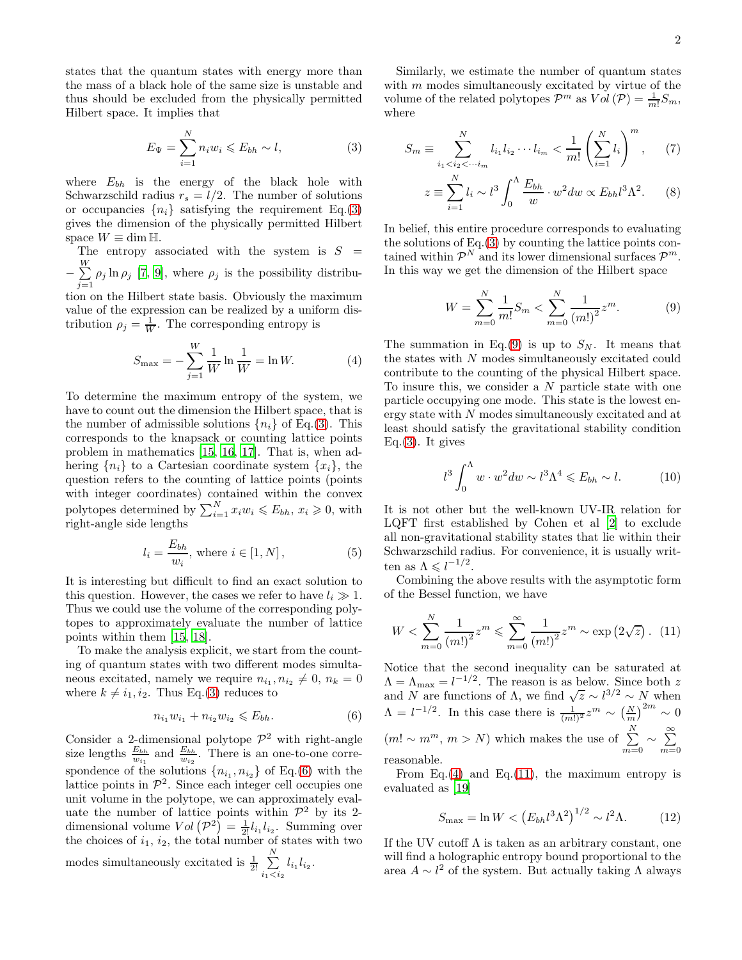states that the quantum states with energy more than the mass of a black hole of the same size is unstable and thus should be excluded from the physically permitted Hilbert space. It implies that

$$
E_{\Psi} = \sum_{i=1}^{N} n_i w_i \leqslant E_{bh} \sim l,
$$
\n(3)

where  $E_{bh}$  is the energy of the black hole with Schwarzschild radius  $r_s = l/2$ . The number of solutions or occupancies  $\{n_i\}$  satisfying the requirement Eq.[\(3\)](#page-1-0) gives the dimension of the physically permitted Hilbert space  $W \equiv \dim \mathbb{H}$ .

The entropy associated with the system is  $S =$  $-\sum_{i=1}^W$  $\sum_{j=1}$   $\rho_j$  ln  $\rho_j$  [\[7,](#page-3-6) [9\]](#page-3-8), where  $\rho_j$  is the possibility distribu-

tion on the Hilbert state basis. Obviously the maximum value of the expression can be realized by a uniform distribution  $\rho_j = \frac{1}{W}$ . The corresponding entropy is

$$
S_{\max} = -\sum_{j=1}^{W} \frac{1}{W} \ln \frac{1}{W} = \ln W.
$$
 (4)

To determine the maximum entropy of the system, we have to count out the dimension the Hilbert space, that is the number of admissible solutions  $\{n_i\}$  of Eq.[\(3\)](#page-1-0). This corresponds to the knapsack or counting lattice points problem in mathematics [\[15,](#page-3-14) [16](#page-3-15), [17\]](#page-3-16). That is, when adhering  ${n_i}$  to a Cartesian coordinate system  ${x_i}$ , the question refers to the counting of lattice points (points with integer coordinates) contained within the convex polytopes determined by  $\sum_{i=1}^{N} x_i w_i \leq E_{bh}, x_i \geq 0$ , with right-angle side lengths

$$
l_i = \frac{E_{bh}}{w_i}, \text{ where } i \in [1, N], \tag{5}
$$

It is interesting but difficult to find an exact solution to this question. However, the cases we refer to have  $l_i \gg 1$ . Thus we could use the volume of the corresponding polytopes to approximately evaluate the number of lattice points within them [\[15](#page-3-14), [18](#page-3-17)].

To make the analysis explicit, we start from the counting of quantum states with two different modes simultaneous excitated, namely we require  $n_{i_1}, n_{i_2} \neq 0, n_k = 0$ where  $k \neq i_1, i_2$ . Thus Eq.[\(3\)](#page-1-0) reduces to

$$
n_{i_1}w_{i_1} + n_{i_2}w_{i_2} \leqslant E_{bh}.\tag{6}
$$

Consider a 2-dimensional polytope  $\mathcal{P}^2$  with right-angle size lengths  $\frac{E_{bh}}{w_{i_1}}$  and  $\frac{E_{bh}}{w_{i_2}}$ . There is an one-to-one correspondence of the solutions  $\{n_{i_1}, n_{i_2}\}$  of Eq.[\(6\)](#page-1-1) with the lattice points in  $\mathcal{P}^2$ . Since each integer cell occupies one unit volume in the polytope, we can approximately evaluate the number of lattice points within  $\mathcal{P}^2$  by its 2dimensional volume  $Vol(P^2) = \frac{1}{2!} l_{i_1} l_{i_2}$ . Summing over the choices of  $i_1$ ,  $i_2$ , the total number of states with two modes simultaneously excitated is  $\frac{1}{2!}$   $\sum_{n=1}^{N}$  $\sum_{i_1$ 

Similarly, we estimate the number of quantum states with  $m$  modes simultaneously excitated by virtue of the volume of the related polytopes  $\mathcal{P}^m$  as  $Vol(\mathcal{P}) = \frac{1}{m!} S_m$ , where

<span id="page-1-0"></span>
$$
S_m \equiv \sum_{i_1 < i_2 < \cdots i_m}^N l_{i_1} l_{i_2} \cdots l_{i_m} < \frac{1}{m!} \left( \sum_{i=1}^N l_i \right)^m, \tag{7}
$$

<span id="page-1-7"></span>
$$
z \equiv \sum_{i=1}^{N} l_i \sim l^3 \int_0^{\Lambda} \frac{E_{bh}}{w} \cdot w^2 dw \propto E_{bh} l^3 \Lambda^2.
$$
 (8)

In belief, this entire procedure corresponds to evaluating the solutions of Eq.[\(3\)](#page-1-0) by counting the lattice points contained within  $\mathcal{P}^N$  and its lower dimensional surfaces  $\mathcal{P}^m$ . In this way we get the dimension of the Hilbert space

<span id="page-1-2"></span>
$$
W = \sum_{m=0}^{N} \frac{1}{m!} S_m < \sum_{m=0}^{N} \frac{1}{(m!)^2} z^m. \tag{9}
$$

<span id="page-1-3"></span>The summation in Eq.[\(9\)](#page-1-2) is up to  $S_N$ . It means that the states with N modes simultaneously excitated could contribute to the counting of the physical Hilbert space. To insure this, we consider a N particle state with one particle occupying one mode. This state is the lowest energy state with N modes simultaneously excitated and at least should satisfy the gravitational stability condition Eq. $(3)$ . It gives

<span id="page-1-6"></span>
$$
l^3 \int_0^\Lambda w \cdot w^2 dw \sim l^3 \Lambda^4 \leqslant E_{bh} \sim l. \tag{10}
$$

It is not other but the well-known UV-IR relation for LQFT first established by Cohen et al [\[2\]](#page-3-1) to exclude all non-gravitational stability states that lie within their Schwarzschild radius. For convenience, it is usually written as  $\Lambda \leqslant l^{-1/2}$ .

Combining the above results with the asymptotic form of the Bessel function, we have

<span id="page-1-4"></span>
$$
W < \sum_{m=0}^{N} \frac{1}{(m!)^2} z^m \leq \sum_{m=0}^{\infty} \frac{1}{(m!)^2} z^m \sim \exp\left(2\sqrt{z}\right). \tag{11}
$$

<span id="page-1-1"></span>Notice that the second inequality can be saturated at  $\Lambda = \Lambda_{\text{max}} = l^{-1/2}$ . The reason is as below. Since both z and N are functions of  $\Lambda$ , we find  $\sqrt{z} \sim l^{3/2} \sim N$  when  $\Lambda = l^{-1/2}$ . In this case there is  $\frac{1}{(m!)^2} z^m \sim \left(\frac{N}{m}\right)^{2m} \sim 0$  $(m! \sim m^m, m > N)$  which makes the use of  $\sum_{i=1}^{N}$  $\sum_{m=0}^{N} \sim \sum_{m=0}^{\infty}$  $m=0$ reasonable.

From Eq.[\(4\)](#page-1-3) and Eq.[\(11\)](#page-1-4), the maximum entropy is evaluated as [\[19\]](#page-3-18)

<span id="page-1-5"></span>
$$
S_{\text{max}} = \ln W < \left( E_{bh} l^3 \Lambda^2 \right)^{1/2} \sim l^2 \Lambda. \tag{12}
$$

If the UV cutoff  $\Lambda$  is taken as an arbitrary constant, one will find a holographic entropy bound proportional to the area  $A \sim l^2$  of the system. But actually taking  $\Lambda$  always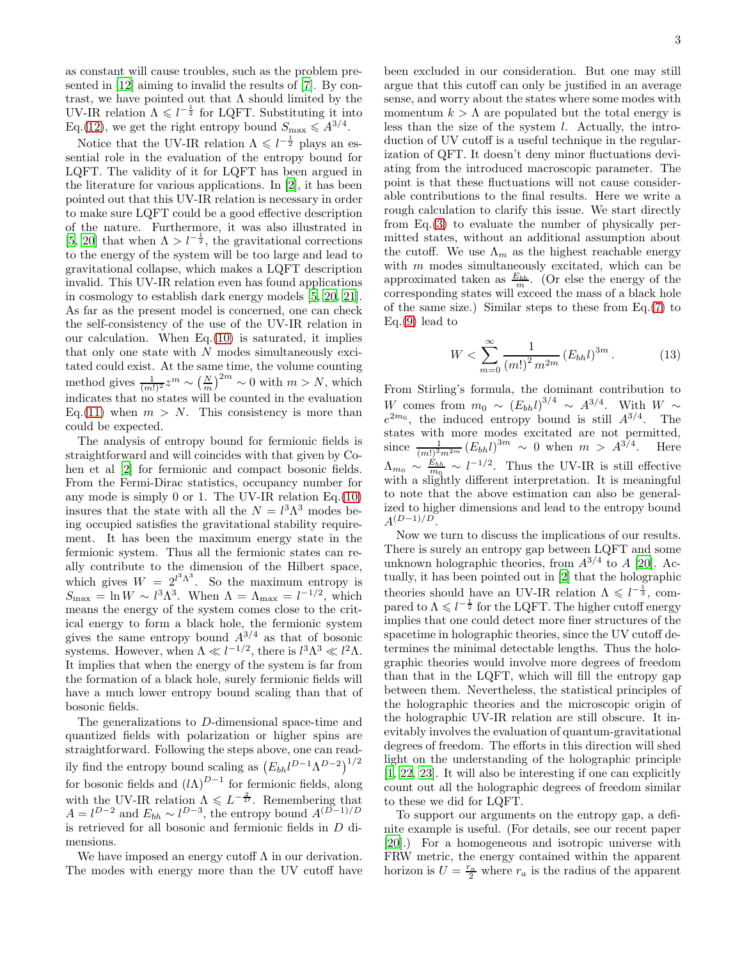as constant will cause troubles, such as the problem presented in [\[12](#page-3-11)] aiming to invalid the results of [\[7\]](#page-3-6). By contrast, we have pointed out that  $\Lambda$  should limited by the UV-IR relation  $\Lambda \leq l^{-\frac{1}{2}}$  for LQFT. Substituting it into Eq.[\(12\)](#page-1-5), we get the right entropy bound  $S_{\text{max}} \leqslant A^{3/4}$ .

Notice that the UV-IR relation  $\Lambda \leqslant l^{-\frac{1}{2}}$  plays an essential role in the evaluation of the entropy bound for LQFT. The validity of it for LQFT has been argued in the literature for various applications. In [\[2\]](#page-3-1), it has been pointed out that this UV-IR relation is necessary in order to make sure LQFT could be a good effective description of the nature. Furthermore, it was also illustrated in [\[5,](#page-3-4) [20](#page-3-19)] that when  $\Lambda > l^{-\frac{1}{2}}$ , the gravitational corrections to the energy of the system will be too large and lead to gravitational collapse, which makes a LQFT description invalid. This UV-IR relation even has found applications in cosmology to establish dark energy models [\[5,](#page-3-4) [20,](#page-3-19) [21\]](#page-3-20). As far as the present model is concerned, one can check the self-consistency of the use of the UV-IR relation in our calculation. When Eq.[\(10\)](#page-1-6) is saturated, it implies that only one state with  $N$  modes simultaneously excitated could exist. At the same time, the volume counting method gives  $\frac{1}{(m!)^2} z^m \sim \left(\frac{N}{m}\right)^{2m} \sim 0$  with  $m > N$ , which indicates that no states will be counted in the evaluation Eq.[\(11\)](#page-1-4) when  $m > N$ . This consistency is more than could be expected.

The analysis of entropy bound for fermionic fields is straightforward and will coincides with that given by Cohen et al [\[2\]](#page-3-1) for fermionic and compact bosonic fields. From the Fermi-Dirac statistics, occupancy number for any mode is simply 0 or 1. The UV-IR relation  $Eq.(10)$  $Eq.(10)$ insures that the state with all the  $N = l^3 \Lambda^3$  modes being occupied satisfies the gravitational stability requirement. It has been the maximum energy state in the fermionic system. Thus all the fermionic states can really contribute to the dimension of the Hilbert space, which gives  $W = 2^{l^3 \Lambda^3}$ . So the maximum entropy is  $S_{\text{max}} = \ln W \sim l^3 \Lambda^3$ . When  $\Lambda = \Lambda_{\text{max}} = l^{-1/2}$ , which means the energy of the system comes close to the critical energy to form a black hole, the fermionic system gives the same entropy bound  $A^{3/4}$  as that of bosonic systems. However, when  $\Lambda \ll l^{-1/2}$ , there is  $l^3 \Lambda^3 \ll l^2 \Lambda$ . It implies that when the energy of the system is far from the formation of a black hole, surely fermionic fields will have a much lower entropy bound scaling than that of bosonic fields.

The generalizations to D-dimensional space-time and quantized fields with polarization or higher spins are straightforward. Following the steps above, one can readily find the entropy bound scaling as  $(E_{bh}l^{D-1}\Lambda^{D-2})^{1/2}$ for bosonic fields and  $(l\Lambda)^{D-1}$  for fermionic fields, along with the UV-IR relation  $\Lambda \leqslant L^{-\frac{2}{D}}$ . Remembering that  $A = l^{D-2}$  and  $E_{bh} \sim l^{D-3}$ , the entropy bound  $A^{(D-1)/D}$ is retrieved for all bosonic and fermionic fields in D dimensions.

We have imposed an energy cutoff  $\Lambda$  in our derivation. The modes with energy more than the UV cutoff have been excluded in our consideration. But one may still argue that this cutoff can only be justified in an average sense, and worry about the states where some modes with momentum  $k > \Lambda$  are populated but the total energy is less than the size of the system  $l$ . Actually, the introduction of UV cutoff is a useful technique in the regularization of QFT. It doesn't deny minor fluctuations deviating from the introduced macroscopic parameter. The point is that these fluctuations will not cause considerable contributions to the final results. Here we write a rough calculation to clarify this issue. We start directly from Eq.[\(3\)](#page-1-0) to evaluate the number of physically permitted states, without an additional assumption about the cutoff. We use  $\Lambda_m$  as the highest reachable energy with  $m$  modes simultaneously excitated, which can be approximated taken as  $E_{bh}$ . (Or else the energy of the corresponding states will exceed the mass of a black hole of the same size.) Similar steps to these from Eq.[\(7\)](#page-1-7) to  $Eq.(9)$  $Eq.(9)$  lead to

$$
W < \sum_{m=0}^{\infty} \frac{1}{(m!)^2 m^{2m}} \left( E_{bh} l \right)^{3m} . \tag{13}
$$

From Stirling's formula, the dominant contribution to W comes from  $m_0 \sim (E_{bh} l)^{3/4} \sim A^{3/4}$ . With  $W \sim$  $e^{2m_0}$ , the induced entropy bound is still  $A^{3/4}$ . The states with more modes excitated are not permitted, since  $\frac{1}{(m!)^2 m^{2m}} (E_{bh} l)^{3m} \sim 0$  when  $m > A^{3/4}$ . Here  $\Lambda_{m_0} \sim \frac{E_{bh}}{m_0} \sim l^{-1/2}$ . Thus the UV-IR is still effective  $m_0$   $m_0$   $m_0$  is thus the  $\sigma$  v-It is sum enconvention. to note that the above estimation can also be generalized to higher dimensions and lead to the entropy bound  $A^{(D-1)/D}$ .

Now we turn to discuss the implications of our results. There is surely an entropy gap between LQFT and some unknown holographic theories, from  $A^{3/4}$  to A [\[20\]](#page-3-19). Actually, it has been pointed out in [\[2](#page-3-1)] that the holographic theories should have an UV-IR relation  $\Lambda \leq l^{-\frac{1}{3}}$ , compared to  $\Lambda \leqslant l^{-\frac{1}{2}}$  for the LQFT. The higher cutoff energy implies that one could detect more finer structures of the spacetime in holographic theories, since the UV cutoff determines the minimal detectable lengths. Thus the holographic theories would involve more degrees of freedom than that in the LQFT, which will fill the entropy gap between them. Nevertheless, the statistical principles of the holographic theories and the microscopic origin of the holographic UV-IR relation are still obscure. It inevitably involves the evaluation of quantum-gravitational degrees of freedom. The efforts in this direction will shed light on the understanding of the holographic principle [\[1,](#page-3-0) [22,](#page-3-21) [23\]](#page-3-22). It will also be interesting if one can explicitly count out all the holographic degrees of freedom similar to these we did for LQFT.

To support our arguments on the entropy gap, a definite example is useful. (For details, see our recent paper [\[20\]](#page-3-19).) For a homogeneous and isotropic universe with FRW metric, the energy contained within the apparent horizon is  $U = \frac{r_a}{2}$  where  $r_a$  is the radius of the apparent